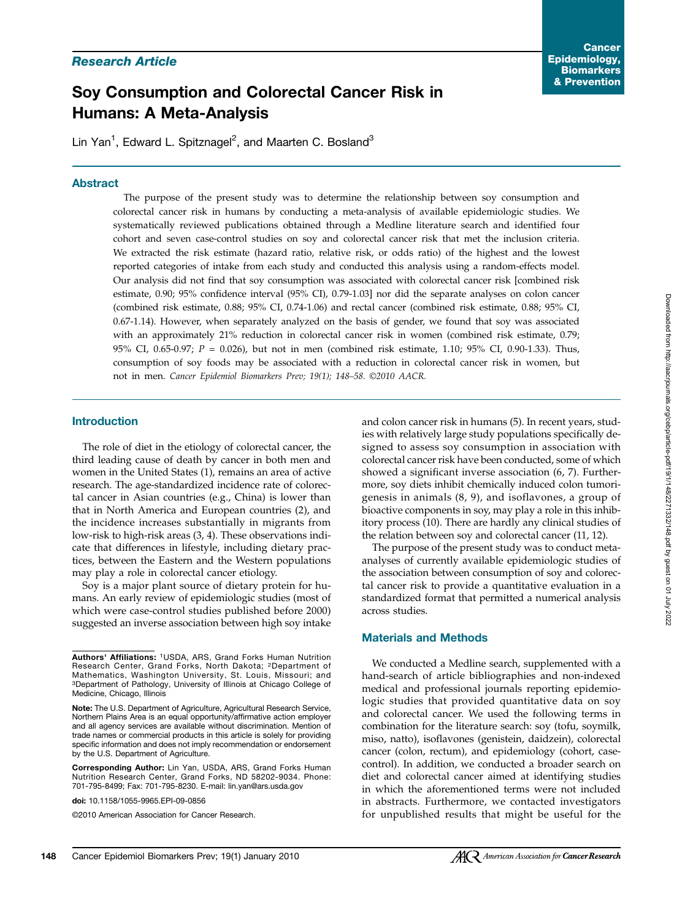# Soy Consumption and Colorectal Cancer Risk in Humans: A Meta-Analysis

Lin Yan<sup>1</sup>, Edward L. Spitznagel<sup>2</sup>, and Maarten C. Bosland<sup>3</sup>

## Abstract

The purpose of the present study was to determine the relationship between soy consumption and colorectal cancer risk in humans by conducting a meta-analysis of available epidemiologic studies. We systematically reviewed publications obtained through a Medline literature search and identified four cohort and seven case-control studies on soy and colorectal cancer risk that met the inclusion criteria. We extracted the risk estimate (hazard ratio, relative risk, or odds ratio) of the highest and the lowest reported categories of intake from each study and conducted this analysis using a random-effects model. Our analysis did not find that soy consumption was associated with colorectal cancer risk [combined risk estimate, 0.90; 95% confidence interval (95% CI), 0.79-1.03] nor did the separate analyses on colon cancer (combined risk estimate, 0.88; 95% CI, 0.74-1.06) and rectal cancer (combined risk estimate, 0.88; 95% CI, 0.67-1.14). However, when separately analyzed on the basis of gender, we found that soy was associated with an approximately 21% reduction in colorectal cancer risk in women (combined risk estimate, 0.79; 95% CI, 0.65-0.97; P = 0.026), but not in men (combined risk estimate, 1.10; 95% CI, 0.90-1.33). Thus, consumption of soy foods may be associated with a reduction in colorectal cancer risk in women, but not in men. Cancer Epidemiol Biomarkers Prev; 19(1); 148–58. ©2010 AACR.

### Introduction

The role of diet in the etiology of colorectal cancer, the third leading cause of death by cancer in both men and women in the United States (1), remains an area of active research. The age-standardized incidence rate of colorectal cancer in Asian countries (e.g., China) is lower than that in North America and European countries (2), and the incidence increases substantially in migrants from low-risk to high-risk areas (3, 4). These observations indicate that differences in lifestyle, including dietary practices, between the Eastern and the Western populations may play a role in colorectal cancer etiology.

Soy is a major plant source of dietary protein for humans. An early review of epidemiologic studies (most of which were case-control studies published before 2000) suggested an inverse association between high soy intake

and colon cancer risk in humans (5). In recent years, studies with relatively large study populations specifically designed to assess soy consumption in association with colorectal cancer risk have been conducted, some of which showed a significant inverse association (6, 7). Furthermore, soy diets inhibit chemically induced colon tumorigenesis in animals (8, 9), and isoflavones, a group of bioactive components in soy, may play a role in this inhibitory process (10). There are hardly any clinical studies of the relation between soy and colorectal cancer (11, 12).

The purpose of the present study was to conduct metaanalyses of currently available epidemiologic studies of the association between consumption of soy and colorectal cancer risk to provide a quantitative evaluation in a standardized format that permitted a numerical analysis across studies.

### Materials and Methods

We conducted a Medline search, supplemented with a hand-search of article bibliographies and non-indexed medical and professional journals reporting epidemiologic studies that provided quantitative data on soy and colorectal cancer. We used the following terms in combination for the literature search: soy (tofu, soymilk, miso, natto), isoflavones (genistein, daidzein), colorectal cancer (colon, rectum), and epidemiology (cohort, casecontrol). In addition, we conducted a broader search on diet and colorectal cancer aimed at identifying studies in which the aforementioned terms were not included in abstracts. Furthermore, we contacted investigators for unpublished results that might be useful for the

Authors' Affiliations: 1USDA, ARS, Grand Forks Human Nutrition Research Center, Grand Forks, North Dakota; 2Department of Mathematics, Washington University, St. Louis, Missouri; and 3Department of Pathology, University of Illinois at Chicago College of Medicine, Chicago, Illinois

Note: The U.S. Department of Agriculture, Agricultural Research Service, Northern Plains Area is an equal opportunity/affirmative action employer and all agency services are available without discrimination. Mention of trade names or commercial products in this article is solely for providing specific information and does not imply recommendation or endorsement by the U.S. Department of Agriculture.

Corresponding Author: Lin Yan, USDA, ARS, Grand Forks Human Nutrition Research Center, Grand Forks, ND 58202-9034. Phone: 701-795-8499; Fax: 701-795-8230. E-mail: lin.yan@ars.usda.gov

doi: 10.1158/1055-9965.EPI-09-0856

<sup>©2010</sup> American Association for Cancer Research.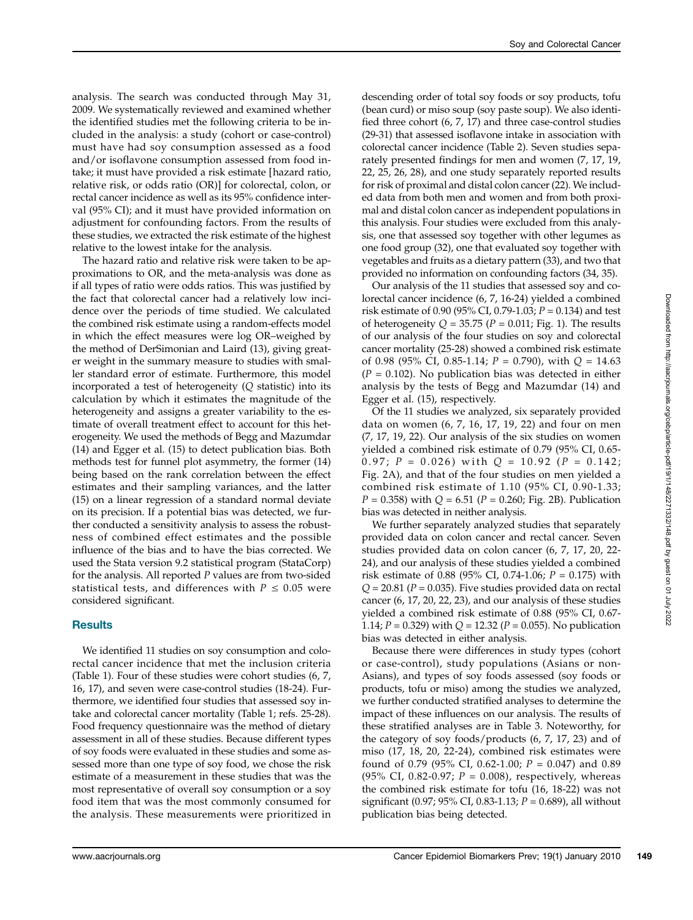analysis. The search was conducted through May 31, 2009. We systematically reviewed and examined whether the identified studies met the following criteria to be included in the analysis: a study (cohort or case-control) must have had soy consumption assessed as a food and/or isoflavone consumption assessed from food intake; it must have provided a risk estimate [hazard ratio, relative risk, or odds ratio (OR)] for colorectal, colon, or rectal cancer incidence as well as its 95% confidence interval (95% CI); and it must have provided information on adjustment for confounding factors. From the results of these studies, we extracted the risk estimate of the highest relative to the lowest intake for the analysis.

The hazard ratio and relative risk were taken to be approximations to OR, and the meta-analysis was done as if all types of ratio were odds ratios. This was justified by the fact that colorectal cancer had a relatively low incidence over the periods of time studied. We calculated the combined risk estimate using a random-effects model in which the effect measures were log OR–weighed by the method of DerSimonian and Laird (13), giving greater weight in the summary measure to studies with smaller standard error of estimate. Furthermore, this model incorporated a test of heterogeneity (Q statistic) into its calculation by which it estimates the magnitude of the heterogeneity and assigns a greater variability to the estimate of overall treatment effect to account for this heterogeneity. We used the methods of Begg and Mazumdar (14) and Egger et al. (15) to detect publication bias. Both methods test for funnel plot asymmetry, the former (14) being based on the rank correlation between the effect estimates and their sampling variances, and the latter (15) on a linear regression of a standard normal deviate on its precision. If a potential bias was detected, we further conducted a sensitivity analysis to assess the robustness of combined effect estimates and the possible influence of the bias and to have the bias corrected. We used the Stata version 9.2 statistical program (StataCorp) for the analysis. All reported  $P$  values are from two-sided statistical tests, and differences with  $P \le 0.05$  were considered significant.

# **Results**

We identified 11 studies on soy consumption and colorectal cancer incidence that met the inclusion criteria (Table 1). Four of these studies were cohort studies (6, 7, 16, 17), and seven were case-control studies (18-24). Furthermore, we identified four studies that assessed soy intake and colorectal cancer mortality (Table 1; refs. 25-28). Food frequency questionnaire was the method of dietary assessment in all of these studies. Because different types of soy foods were evaluated in these studies and some assessed more than one type of soy food, we chose the risk estimate of a measurement in these studies that was the most representative of overall soy consumption or a soy food item that was the most commonly consumed for the analysis. These measurements were prioritized in

descending order of total soy foods or soy products, tofu (bean curd) or miso soup (soy paste soup). We also identified three cohort (6, 7, 17) and three case-control studies (29-31) that assessed isoflavone intake in association with colorectal cancer incidence (Table 2). Seven studies separately presented findings for men and women (7, 17, 19, 22, 25, 26, 28), and one study separately reported results for risk of proximal and distal colon cancer (22). We included data from both men and women and from both proximal and distal colon cancer as independent populations in this analysis. Four studies were excluded from this analysis, one that assessed soy together with other legumes as one food group (32), one that evaluated soy together with vegetables and fruits as a dietary pattern (33), and two that provided no information on confounding factors (34, 35).

Our analysis of the 11 studies that assessed soy and colorectal cancer incidence (6, 7, 16-24) yielded a combined risk estimate of 0.90 (95% CI, 0.79-1.03;  $P = 0.134$ ) and test of heterogeneity  $Q = 35.75$  ( $P = 0.011$ ; Fig. 1). The results of our analysis of the four studies on soy and colorectal cancer mortality (25-28) showed a combined risk estimate of 0.98 (95% CI, 0.85-1.14;  $P = 0.790$ ), with  $Q = 14.63$  $(P = 0.102)$ . No publication bias was detected in either analysis by the tests of Begg and Mazumdar (14) and Egger et al. (15), respectively.

Of the 11 studies we analyzed, six separately provided data on women (6, 7, 16, 17, 19, 22) and four on men (7, 17, 19, 22). Our analysis of the six studies on women yielded a combined risk estimate of 0.79 (95% CI, 0.65- 0.97;  $P = 0.026$ ) with  $Q = 10.92$  ( $P = 0.142$ ; Fig. 2A), and that of the four studies on men yielded a combined risk estimate of 1.10 (95% CI, 0.90-1.33;  $P = 0.358$ ) with  $Q = 6.51$  ( $P = 0.260$ ; Fig. 2B). Publication bias was detected in neither analysis.

We further separately analyzed studies that separately provided data on colon cancer and rectal cancer. Seven studies provided data on colon cancer (6, 7, 17, 20, 22- 24), and our analysis of these studies yielded a combined risk estimate of 0.88 (95% CI, 0.74-1.06;  $P = 0.175$ ) with  $Q = 20.81$  ( $P = 0.035$ ). Five studies provided data on rectal cancer (6, 17, 20, 22, 23), and our analysis of these studies yielded a combined risk estimate of 0.88 (95% CI, 0.67- 1.14;  $P = 0.329$ ) with  $Q = 12.32$  ( $P = 0.055$ ). No publication bias was detected in either analysis.

Because there were differences in study types (cohort or case-control), study populations (Asians or non-Asians), and types of soy foods assessed (soy foods or products, tofu or miso) among the studies we analyzed, we further conducted stratified analyses to determine the impact of these influences on our analysis. The results of these stratified analyses are in Table 3. Noteworthy, for the category of soy foods/products (6, 7, 17, 23) and of miso (17, 18, 20, 22-24), combined risk estimates were found of 0.79 (95% CI, 0.62-1.00;  $P = 0.047$ ) and 0.89 (95% CI, 0.82-0.97;  $P = 0.008$ ), respectively, whereas the combined risk estimate for tofu (16, 18-22) was not significant (0.97; 95% CI, 0.83-1.13;  $P = 0.689$ ), all without publication bias being detected.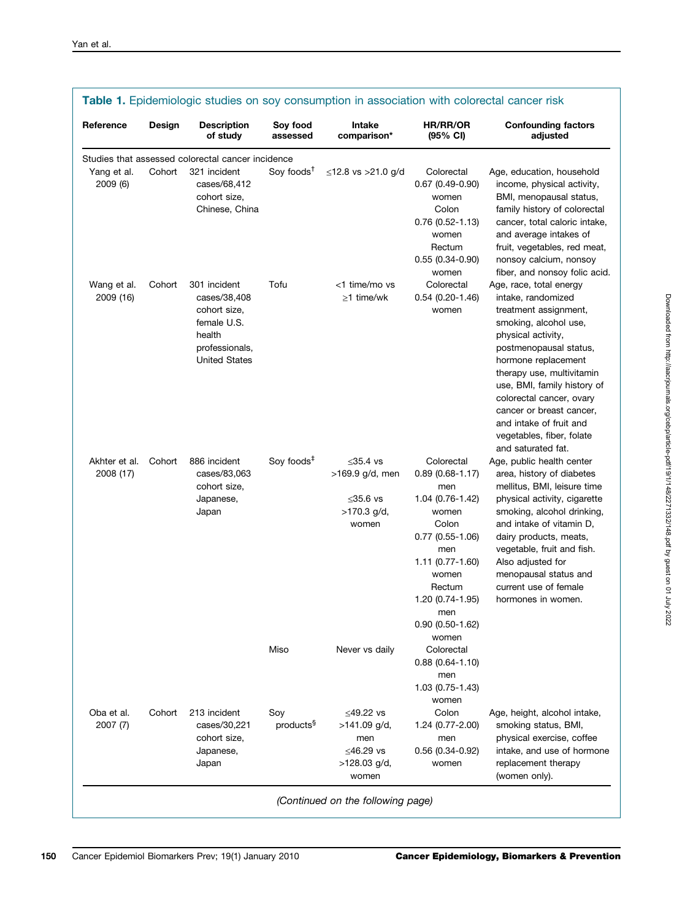| Table 1. Epidemiologic studies on soy consumption in association with colorectal cancer risk |        |                                                                                                                     |                                |                                                                                           |                                                                                                                                                                                                                                                                                  |                                                                                                                                                                                                                                                                                                                                                                                                           |  |  |
|----------------------------------------------------------------------------------------------|--------|---------------------------------------------------------------------------------------------------------------------|--------------------------------|-------------------------------------------------------------------------------------------|----------------------------------------------------------------------------------------------------------------------------------------------------------------------------------------------------------------------------------------------------------------------------------|-----------------------------------------------------------------------------------------------------------------------------------------------------------------------------------------------------------------------------------------------------------------------------------------------------------------------------------------------------------------------------------------------------------|--|--|
| Reference                                                                                    | Design | <b>Description</b><br>of study                                                                                      | Soy food<br>assessed           | Intake<br>comparison*                                                                     | HR/RR/OR<br>$(95% \text{ CI})$                                                                                                                                                                                                                                                   | <b>Confounding factors</b><br>adjusted                                                                                                                                                                                                                                                                                                                                                                    |  |  |
| Yang et al.<br>2009(6)                                                                       | Cohort | Studies that assessed colorectal cancer incidence<br>321 incident<br>cases/68,412<br>cohort size,<br>Chinese, China | Soy foods <sup>t</sup>         | ≤12.8 vs >21.0 g/d                                                                        | Colorectal<br>0.67 (0.49-0.90)<br>women<br>Colon<br>$0.76(0.52 - 1.13)$<br>women<br>Rectum<br>$0.55(0.34 - 0.90)$                                                                                                                                                                | Age, education, household<br>income, physical activity,<br>BMI, menopausal status,<br>family history of colorectal<br>cancer, total caloric intake,<br>and average intakes of<br>fruit, vegetables, red meat,<br>nonsoy calcium, nonsoy                                                                                                                                                                   |  |  |
| Wang et al.<br>2009 (16)                                                                     | Cohort | 301 incident<br>cases/38,408<br>cohort size,<br>female U.S.<br>health<br>professionals,<br><b>United States</b>     | Tofu                           | <1 time/mo vs<br>$\geq$ 1 time/wk                                                         | women<br>Colorectal<br>$0.54(0.20-1.46)$<br>women                                                                                                                                                                                                                                | fiber, and nonsoy folic acid.<br>Age, race, total energy<br>intake, randomized<br>treatment assignment,<br>smoking, alcohol use,<br>physical activity,<br>postmenopausal status,<br>hormone replacement<br>therapy use, multivitamin<br>use, BMI, family history of<br>colorectal cancer, ovary<br>cancer or breast cancer,<br>and intake of fruit and<br>vegetables, fiber, folate<br>and saturated fat. |  |  |
| Akhter et al.<br>2008 (17)                                                                   | Cohort | 886 incident<br>cases/83,063<br>cohort size,<br>Japanese,<br>Japan                                                  | Soy foods <sup>#</sup><br>Miso | $\leq$ 35.4 vs<br>>169.9 g/d, men<br>≤35.6 vs<br>$>170.3$ g/d,<br>women<br>Never vs daily | Colorectal<br>$0.89(0.68 - 1.17)$<br>men<br>1.04 (0.76-1.42)<br>women<br>Colon<br>$0.77$ $(0.55 - 1.06)$<br>men<br>$1.11(0.77-1.60)$<br>women<br>Rectum<br>1.20 (0.74-1.95)<br>men<br>$0.90(0.50-1.62)$<br>women<br>Colorectal<br>$0.88(0.64 - 1.10)$<br>men<br>1.03 (0.75-1.43) | Age, public health center<br>area, history of diabetes<br>mellitus, BMI, leisure time<br>physical activity, cigarette<br>smoking, alcohol drinking,<br>and intake of vitamin D,<br>dairy products, meats,<br>vegetable, fruit and fish.<br>Also adjusted for<br>menopausal status and<br>current use of female<br>hormones in women.                                                                      |  |  |
| Oba et al.<br>2007(7)                                                                        | Cohort | 213 incident<br>cases/30,221<br>cohort size,<br>Japanese,<br>Japan                                                  | Soy<br>products <sup>§</sup>   | ≤49.22 vs<br>>141.09 g/d,<br>men<br>≤46.29 vs<br>>128.03 g/d,<br>women                    | women<br>Colon<br>1.24 (0.77-2.00)<br>men<br>$0.56(0.34-0.92)$<br>women                                                                                                                                                                                                          | Age, height, alcohol intake,<br>smoking status, BMI,<br>physical exercise, coffee<br>intake, and use of hormone<br>replacement therapy<br>(women only).                                                                                                                                                                                                                                                   |  |  |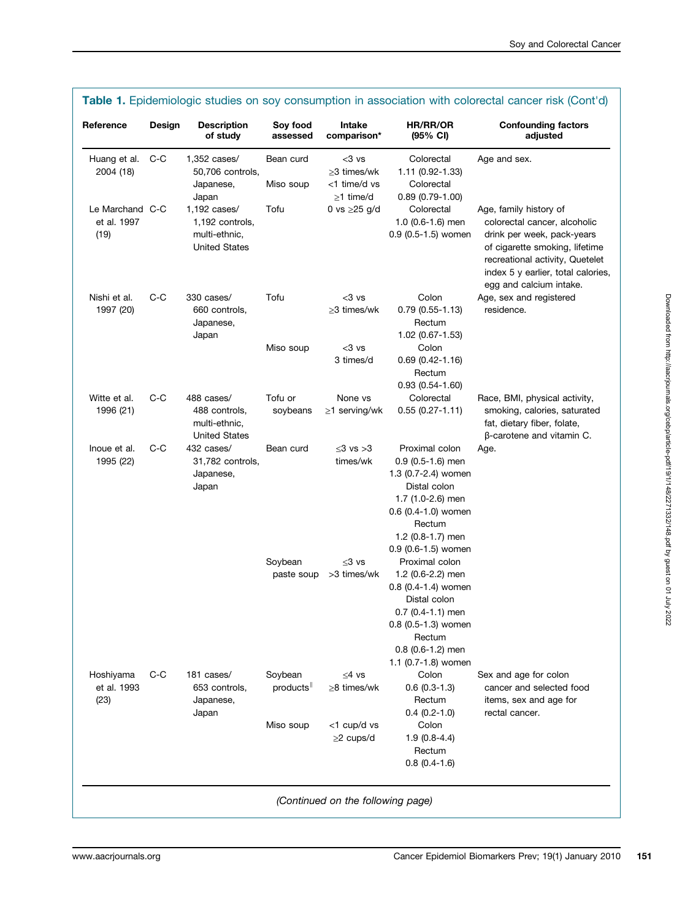| Reference                              | Design | <b>Description</b><br>of study                                           | Soy food<br>assessed   | Intake<br>comparison*                           | HR/RR/OR<br>(95% CI)                                                                                   | <b>Confounding factors</b><br>adjusted                                                                                                                                                                                     |
|----------------------------------------|--------|--------------------------------------------------------------------------|------------------------|-------------------------------------------------|--------------------------------------------------------------------------------------------------------|----------------------------------------------------------------------------------------------------------------------------------------------------------------------------------------------------------------------------|
| Huang et al.<br>2004 (18)              | $C-C$  | 1,352 cases/<br>50,706 controls,<br>Japanese,                            | Bean curd<br>Miso soup | $<$ 3 $vs$<br>$\geq$ 3 times/wk<br><1 time/d vs | Colorectal<br>1.11 (0.92-1.33)<br>Colorectal                                                           | Age and sex.                                                                                                                                                                                                               |
|                                        |        | Japan                                                                    |                        | ≥1 time/d                                       | $0.89$ (0.79-1.00)                                                                                     |                                                                                                                                                                                                                            |
| Le Marchand C-C<br>et al. 1997<br>(19) |        | 1,192 cases/<br>1,192 controls,<br>multi-ethnic,<br><b>United States</b> | Tofu                   | 0 vs $\geq$ 25 g/d                              | Colorectal<br>1.0 (0.6-1.6) men<br>$0.9$ $(0.5-1.5)$ women                                             | Age, family history of<br>colorectal cancer, alcoholic<br>drink per week, pack-years<br>of cigarette smoking, lifetime<br>recreational activity, Quetelet<br>index 5 y earlier, total calories,<br>egg and calcium intake. |
| Nishi et al.                           | C-C    | 330 cases/                                                               | Tofu                   | $<$ 3 vs                                        | Colon                                                                                                  | Age, sex and registered                                                                                                                                                                                                    |
| 1997 (20)                              |        | 660 controls,<br>Japanese,                                               |                        | $\geq$ 3 times/wk                               | $0.79$ $(0.55 - 1.13)$<br>Rectum                                                                       | residence.                                                                                                                                                                                                                 |
|                                        |        | Japan                                                                    |                        |                                                 | 1.02 (0.67-1.53)                                                                                       |                                                                                                                                                                                                                            |
|                                        |        |                                                                          | Miso soup              | <3 vs<br>3 times/d                              | Colon<br>$0.69(0.42 - 1.16)$<br>Rectum                                                                 |                                                                                                                                                                                                                            |
|                                        |        |                                                                          |                        |                                                 | $0.93(0.54 - 1.60)$                                                                                    |                                                                                                                                                                                                                            |
| Witte et al.                           | C-C    | 488 cases/                                                               | Tofu or                | None vs                                         | Colorectal                                                                                             | Race, BMI, physical activity,                                                                                                                                                                                              |
| 1996 (21)                              |        | 488 controls,<br>multi-ethnic,<br><b>United States</b>                   | soybeans               | $\geq$ 1 serving/wk                             | $0.55(0.27 - 1.11)$                                                                                    | smoking, calories, saturated<br>fat, dietary fiber, folate,<br>$\beta$ -carotene and vitamin C.                                                                                                                            |
| Inoue et al.                           | $C-C$  | 432 cases/<br>31,782 controls,<br>Japanese,<br>Japan                     | Bean curd              | $<$ 3 vs $>$ 3<br>times/wk                      | Proximal colon                                                                                         | Age.                                                                                                                                                                                                                       |
| 1995 (22)                              |        |                                                                          |                        |                                                 | $0.9$ (0.5-1.6) men<br>1.3 (0.7-2.4) women<br>Distal colon                                             |                                                                                                                                                                                                                            |
|                                        |        |                                                                          |                        |                                                 | 1.7 (1.0-2.6) men<br>$0.6$ $(0.4-1.0)$ women<br>Rectum<br>1.2 $(0.8-1.7)$ men<br>$0.9$ (0.6-1.5) women |                                                                                                                                                                                                                            |
|                                        |        |                                                                          | Soybean                | ≤3 vs                                           | Proximal colon                                                                                         |                                                                                                                                                                                                                            |
|                                        |        |                                                                          | paste soup             | >3 times/wk                                     | 1.2 (0.6-2.2) men                                                                                      |                                                                                                                                                                                                                            |
|                                        |        |                                                                          |                        |                                                 | $0.8$ (0.4-1.4) women<br>Distal colon                                                                  |                                                                                                                                                                                                                            |
|                                        |        |                                                                          |                        |                                                 | $0.7$ (0.4-1.1) men<br>0.8 (0.5-1.3) women                                                             |                                                                                                                                                                                                                            |
|                                        |        |                                                                          |                        |                                                 | Rectum                                                                                                 |                                                                                                                                                                                                                            |
|                                        |        |                                                                          |                        |                                                 | $0.8$ (0.6-1.2) men                                                                                    |                                                                                                                                                                                                                            |
| Hoshiyama                              | C-C    | 181 cases/                                                               | Soybean                | ≤4 vs                                           | 1.1 (0.7-1.8) women<br>Colon                                                                           | Sex and age for colon                                                                                                                                                                                                      |
| et al. 1993                            |        | 653 controls.                                                            | products               | $\geq$ 8 times/wk                               | $0.6(0.3-1.3)$                                                                                         | cancer and selected food                                                                                                                                                                                                   |
| (23)                                   |        | Japanese,<br>Japan                                                       |                        |                                                 | Rectum                                                                                                 | items, sex and age for                                                                                                                                                                                                     |
|                                        |        |                                                                          |                        |                                                 | $0.4(0.2-1.0)$                                                                                         | rectal cancer.                                                                                                                                                                                                             |
|                                        |        |                                                                          | Miso soup              | <1 cup/d vs                                     | Colon                                                                                                  |                                                                                                                                                                                                                            |
|                                        |        |                                                                          |                        | $\geq$ 2 cups/d                                 | $1.9(0.8-4.4)$                                                                                         |                                                                                                                                                                                                                            |
|                                        |        |                                                                          |                        |                                                 | Rectum                                                                                                 |                                                                                                                                                                                                                            |
|                                        |        |                                                                          |                        |                                                 | $0.8(0.4-1.6)$                                                                                         |                                                                                                                                                                                                                            |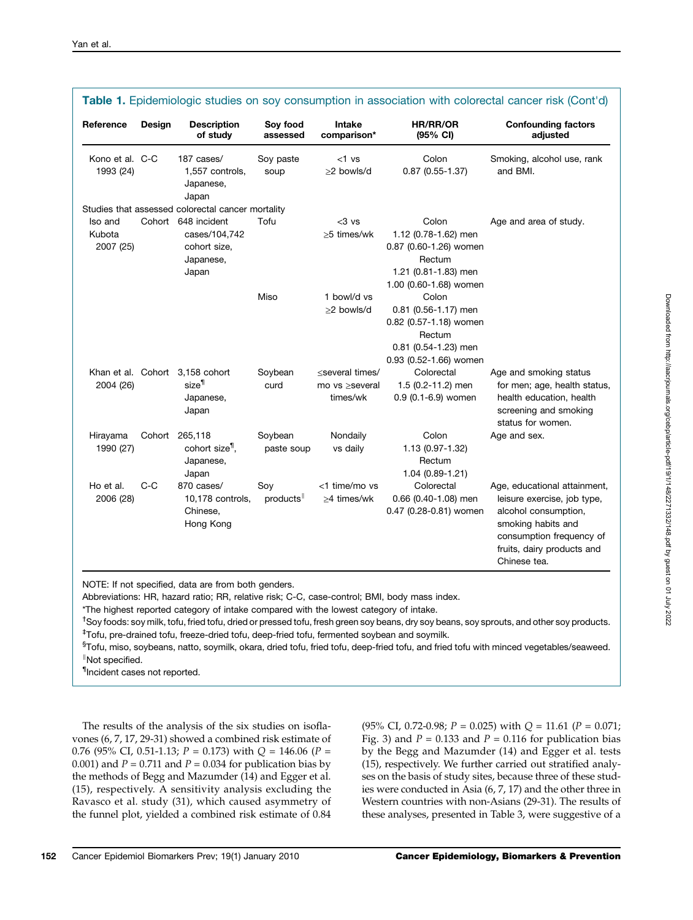| Reference                      | Design | <b>Description</b><br>of study                                              | Soy food<br>assessed  | Intake<br>comparison*                                             | HR/RR/OR<br>(95% CI)                                                                                                | <b>Confounding factors</b><br>adjusted                                                                                                                                              |
|--------------------------------|--------|-----------------------------------------------------------------------------|-----------------------|-------------------------------------------------------------------|---------------------------------------------------------------------------------------------------------------------|-------------------------------------------------------------------------------------------------------------------------------------------------------------------------------------|
| Kono et al. C-C<br>1993 (24)   |        | 187 cases/<br>1,557 controls,<br>Japanese,<br>Japan                         | Soy paste<br>soup     | <1 vs<br>$\geq$ 2 bowls/d                                         | Colon<br>$0.87$ (0.55-1.37)                                                                                         | Smoking, alcohol use, rank<br>and BMI.                                                                                                                                              |
|                                |        | Studies that assessed colorectal cancer mortality                           |                       |                                                                   |                                                                                                                     |                                                                                                                                                                                     |
| Iso and<br>Kubota<br>2007 (25) |        | Cohort 648 incident<br>cases/104,742<br>cohort size,<br>Japanese,<br>Japan  | Tofu                  | $<$ 3 vs<br>>5 times/wk                                           | Colon<br>1.12 (0.78-1.62) men<br>0.87 (0.60-1.26) women<br>Rectum<br>1.21 (0.81-1.83) men<br>1.00 (0.60-1.68) women | Age and area of study.                                                                                                                                                              |
|                                |        |                                                                             | Miso                  | 1 bowl/d vs<br>>2 bowls/d                                         | Colon<br>0.81 (0.56-1.17) men<br>0.82 (0.57-1.18) women<br>Rectum<br>0.81 (0.54-1.23) men<br>0.93 (0.52-1.66) women |                                                                                                                                                                                     |
| 2004 (26)                      |        | Khan et al. Cohort 3,158 cohort<br>size <sup>11</sup><br>Japanese,<br>Japan | Soybean<br>curd       | <several <br="" times="">mo vs &gt;several<br/>times/wk</several> | Colorectal<br>1.5 (0.2-11.2) men<br>0.9 (0.1-6.9) women                                                             | Age and smoking status<br>for men; age, health status,<br>health education, health<br>screening and smoking<br>status for women.                                                    |
| Hirayama<br>1990 (27)          | Cohort | 265,118<br>cohort size <sup>11</sup> ,<br>Japanese,<br>Japan                | Soybean<br>paste soup | Nondaily<br>vs daily                                              | Colon<br>1.13 (0.97-1.32)<br>Rectum<br>$1.04(0.89-1.21)$                                                            | Age and sex.                                                                                                                                                                        |
| Ho et al.<br>2006 (28)         | $C-C$  | 870 cases/<br>10,178 controls,<br>Chinese,<br>Hong Kong                     | Soy<br>products       | <1 time/mo vs<br>$\geq$ 4 times/wk                                | Colorectal<br>0.66 (0.40-1.08) men<br>0.47 (0.28-0.81) women                                                        | Age, educational attainment,<br>leisure exercise, job type,<br>alcohol consumption,<br>smoking habits and<br>consumption frequency of<br>fruits, dairy products and<br>Chinese tea. |

NOTE: If not specified, data are from both genders.

Abbreviations: HR, hazard ratio; RR, relative risk; C-C, case-control; BMI, body mass index.

\*The highest reported category of intake compared with the lowest category of intake.

† Soy foods: soy milk, tofu, fried tofu, dried or pressed tofu, fresh green soy beans, dry soy beans, soy sprouts, and other soy products. ‡ Tofu, pre-drained tofu, freeze-dried tofu, deep-fried tofu, fermented soybean and soymilk.

§ Tofu, miso, soybeans, natto, soymilk, okara, dried tofu, fried tofu, deep-fried tofu, and fried tofu with minced vegetables/seaweed. ∥ Not specified.

¶ Incident cases not reported.

The results of the analysis of the six studies on isoflavones (6, 7, 17, 29-31) showed a combined risk estimate of 0.76 (95% CI, 0.51-1.13;  $P = 0.173$ ) with  $Q = 146.06$  ( $P =$ 0.001) and  $P = 0.711$  and  $P = 0.034$  for publication bias by the methods of Begg and Mazumder (14) and Egger et al. (15), respectively. A sensitivity analysis excluding the Ravasco et al. study (31), which caused asymmetry of the funnel plot, yielded a combined risk estimate of 0.84

(95% CI, 0.72-0.98;  $P = 0.025$ ) with  $Q = 11.61$  ( $P = 0.071$ ; Fig. 3) and  $P = 0.133$  and  $P = 0.116$  for publication bias by the Begg and Mazumder (14) and Egger et al. tests (15), respectively. We further carried out stratified analyses on the basis of study sites, because three of these studies were conducted in Asia (6, 7, 17) and the other three in Western countries with non-Asians (29-31). The results of these analyses, presented in Table 3, were suggestive of a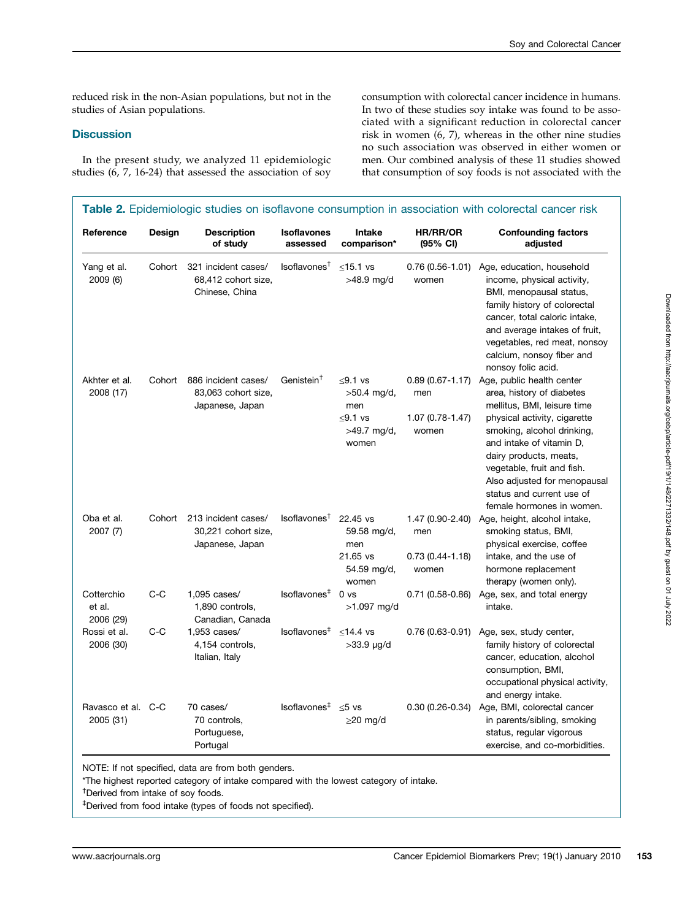reduced risk in the non-Asian populations, but not in the studies of Asian populations.

## **Discussion**

In the present study, we analyzed 11 epidemiologic studies (6, 7, 16-24) that assessed the association of soy

consumption with colorectal cancer incidence in humans. In two of these studies soy intake was found to be associated with a significant reduction in colorectal cancer risk in women  $(6, 7)$ , whereas in the other nine studies no such association was observed in either women or men. Our combined analysis of these 11 studies showed that consumption of soy foods is not associated with the

| Reference                         | Design | <b>Description</b><br>of study                                | <b>Isoflavones</b><br>assessed       | <b>Intake</b><br>comparison*                 | HR/RR/OR<br>$(95% \text{ CI})$                    | <b>Confounding factors</b><br>adjusted                                                                                                                                                                                                                                  |
|-----------------------------------|--------|---------------------------------------------------------------|--------------------------------------|----------------------------------------------|---------------------------------------------------|-------------------------------------------------------------------------------------------------------------------------------------------------------------------------------------------------------------------------------------------------------------------------|
| Yang et al.<br>2009 (6)           | Cohort | 321 incident cases/<br>68,412 cohort size,<br>Chinese, China  | Isoflavones <sup>†</sup>             | $<$ 15.1 vs<br>>48.9 mg/d                    | $0.76(0.56-1.01)$<br>women                        | Age, education, household<br>income, physical activity,<br>BMI, menopausal status,<br>family history of colorectal<br>cancer, total caloric intake,<br>and average intakes of fruit,<br>vegetables, red meat, nonsoy<br>calcium, nonsoy fiber and<br>nonsoy folic acid. |
| Akhter et al.<br>2008 (17)        | Cohort | 886 incident cases/<br>83,063 cohort size,<br>Japanese, Japan | Genistein <sup>†</sup>               | ≤9.1 vs<br>$>50.4$ mg/d,<br>men<br>≤9.1 $vs$ | $0.89(0.67 - 1.17)$<br>men<br>$1.07(0.78 - 1.47)$ | Age, public health center<br>area, history of diabetes<br>mellitus, BMI, leisure time<br>physical activity, cigarette                                                                                                                                                   |
|                                   |        |                                                               |                                      | >49.7 mg/d,<br>women                         | women                                             | smoking, alcohol drinking,<br>and intake of vitamin D,<br>dairy products, meats,<br>vegetable, fruit and fish.<br>Also adjusted for menopausal<br>status and current use of<br>female hormones in women.                                                                |
| Oba et al.<br>2007 (7)            | Cohort | 213 incident cases/<br>30,221 cohort size,<br>Japanese, Japan | Isoflavones <sup>T</sup>             | 22.45 vs<br>59.58 mg/d,<br>men               | 1.47 (0.90-2.40)<br>men                           | Age, height, alcohol intake,<br>smoking status, BMI,<br>physical exercise, coffee                                                                                                                                                                                       |
|                                   |        |                                                               |                                      | 21.65 vs<br>54.59 mg/d,<br>women             | $0.73(0.44 - 1.18)$<br>women                      | intake, and the use of<br>hormone replacement<br>therapy (women only).                                                                                                                                                                                                  |
| Cotterchio<br>et al.<br>2006 (29) | $C-C$  | 1,095 cases/<br>1,890 controls,<br>Canadian, Canada           | Isoflavones <sup>#</sup>             | 0 <sub>vs</sub><br>$>1.097$ mg/d             | $0.71(0.58-0.86)$                                 | Age, sex, and total energy<br>intake.                                                                                                                                                                                                                                   |
| Rossi et al.<br>2006 (30)         | $C-C$  | 1.953 cases/<br>4,154 controls,<br>Italian, Italy             | $Isoflavones‡ < 14.4$ vs             | $>33.9$ $\mu$ g/d                            | $0.76(0.63 - 0.91)$                               | Age, sex, study center,<br>family history of colorectal<br>cancer, education, alcohol<br>consumption, BMI,<br>occupational physical activity,<br>and energy intake.                                                                                                     |
| Ravasco et al. C-C<br>2005 (31)   |        | 70 cases/<br>70 controls,<br>Portuguese,<br>Portugal          | Isoflavones <sup>#</sup> $\leq$ 5 vs | $\geq$ 20 mg/d                               | $0.30(0.26 - 0.34)$                               | Age, BMI, colorectal cancer<br>in parents/sibling, smoking<br>status, regular vigorous<br>exercise, and co-morbidities.                                                                                                                                                 |

: It not specified, data are from both genders.

\*The highest reported category of intake compared with the lowest category of intake.

<sup>†</sup>Derived from intake of soy foods.

‡ Derived from food intake (types of foods not specified).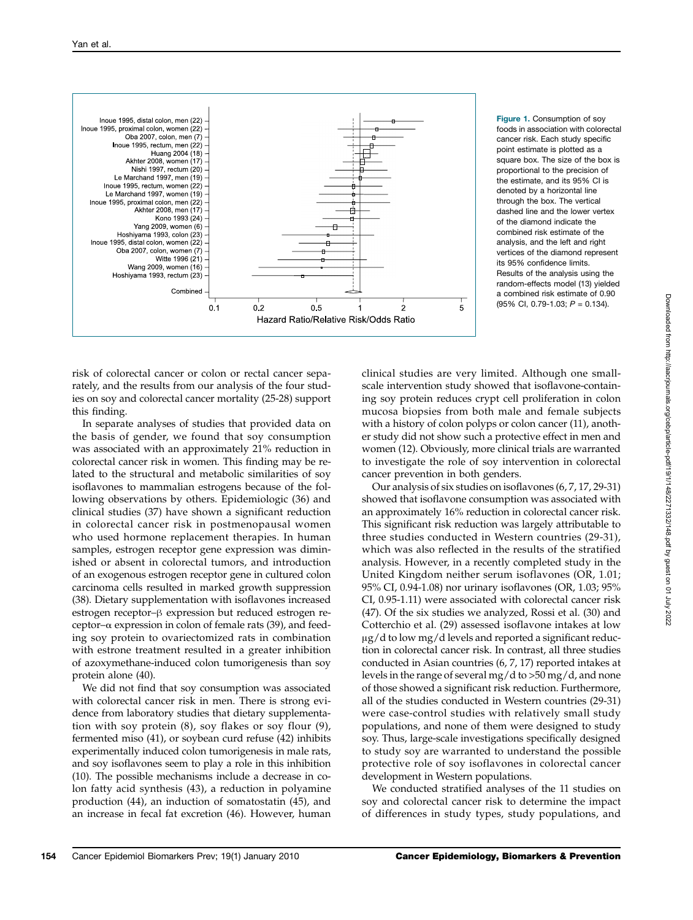

Figure 1. Consumption of soy foods in association with colorectal cancer risk. Each study specific point estimate is plotted as a square box. The size of the box is proportional to the precision of the estimate, and its 95% CI is denoted by a horizontal line through the box. The vertical dashed line and the lower vertex of the diamond indicate the combined risk estimate of the analysis, and the left and right vertices of the diamond represent its 95% confidence limits. Results of the analysis using the random-effects model (13) yielded a combined risk estimate of 0.90  $(95\% \text{ CI}, 0.79-1.03; P = 0.134).$ 

risk of colorectal cancer or colon or rectal cancer separately, and the results from our analysis of the four studies on soy and colorectal cancer mortality (25-28) support this finding.

In separate analyses of studies that provided data on the basis of gender, we found that soy consumption was associated with an approximately 21% reduction in colorectal cancer risk in women. This finding may be related to the structural and metabolic similarities of soy isoflavones to mammalian estrogens because of the following observations by others. Epidemiologic (36) and clinical studies (37) have shown a significant reduction in colorectal cancer risk in postmenopausal women who used hormone replacement therapies. In human samples, estrogen receptor gene expression was diminished or absent in colorectal tumors, and introduction of an exogenous estrogen receptor gene in cultured colon carcinoma cells resulted in marked growth suppression (38). Dietary supplementation with isoflavones increased estrogen receptor–β expression but reduced estrogen receptor–α expression in colon of female rats (39), and feeding soy protein to ovariectomized rats in combination with estrone treatment resulted in a greater inhibition of azoxymethane-induced colon tumorigenesis than soy protein alone (40).

We did not find that soy consumption was associated with colorectal cancer risk in men. There is strong evidence from laboratory studies that dietary supplementation with soy protein (8), soy flakes or soy flour (9), fermented miso (41), or soybean curd refuse (42) inhibits experimentally induced colon tumorigenesis in male rats, and soy isoflavones seem to play a role in this inhibition (10). The possible mechanisms include a decrease in colon fatty acid synthesis (43), a reduction in polyamine production (44), an induction of somatostatin (45), and an increase in fecal fat excretion (46). However, human

clinical studies are very limited. Although one smallscale intervention study showed that isoflavone-containing soy protein reduces crypt cell proliferation in colon mucosa biopsies from both male and female subjects with a history of colon polyps or colon cancer (11), another study did not show such a protective effect in men and women (12). Obviously, more clinical trials are warranted to investigate the role of soy intervention in colorectal cancer prevention in both genders.

Our analysis of six studies on isoflavones (6, 7, 17, 29-31) showed that isoflavone consumption was associated with an approximately 16% reduction in colorectal cancer risk. This significant risk reduction was largely attributable to three studies conducted in Western countries (29-31), which was also reflected in the results of the stratified analysis. However, in a recently completed study in the United Kingdom neither serum isoflavones (OR, 1.01; 95% CI, 0.94-1.08) nor urinary isoflavones (OR, 1.03; 95% CI, 0.95-1.11) were associated with colorectal cancer risk (47). Of the six studies we analyzed, Rossi et al. (30) and Cotterchio et al. (29) assessed isoflavone intakes at low μg/d to low mg/d levels and reported a significant reduction in colorectal cancer risk. In contrast, all three studies conducted in Asian countries (6, 7, 17) reported intakes at levels in the range of several mg/d to >50 mg/d, and none of those showed a significant risk reduction. Furthermore, all of the studies conducted in Western countries (29-31) were case-control studies with relatively small study populations, and none of them were designed to study soy. Thus, large-scale investigations specifically designed to study soy are warranted to understand the possible protective role of soy isoflavones in colorectal cancer development in Western populations.

We conducted stratified analyses of the 11 studies on soy and colorectal cancer risk to determine the impact of differences in study types, study populations, and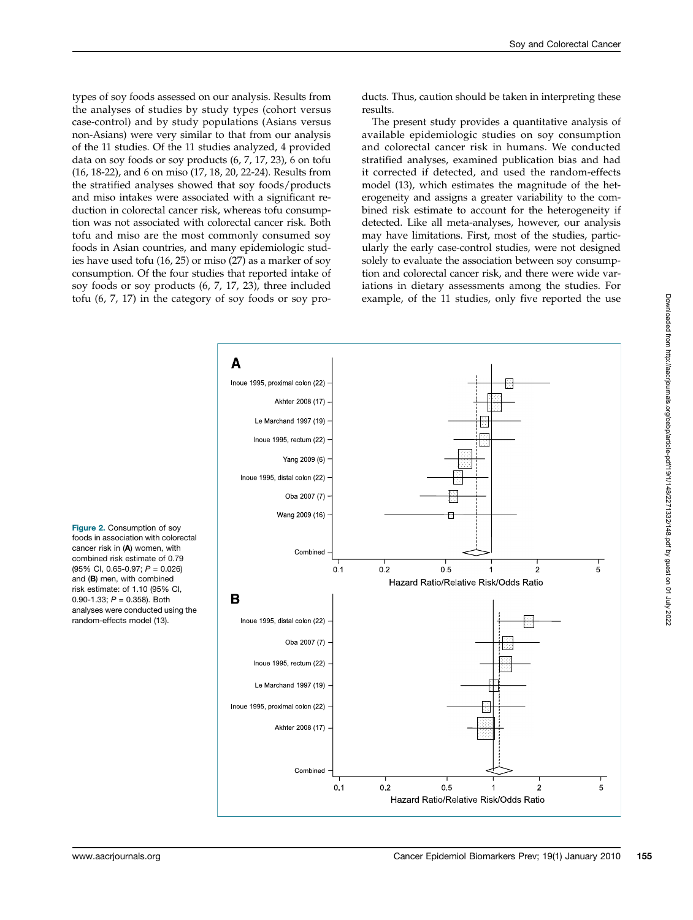types of soy foods assessed on our analysis. Results from the analyses of studies by study types (cohort versus case-control) and by study populations (Asians versus non-Asians) were very similar to that from our analysis of the 11 studies. Of the 11 studies analyzed, 4 provided data on soy foods or soy products (6, 7, 17, 23), 6 on tofu (16, 18-22), and 6 on miso (17, 18, 20, 22-24). Results from the stratified analyses showed that soy foods/products and miso intakes were associated with a significant reduction in colorectal cancer risk, whereas tofu consumption was not associated with colorectal cancer risk. Both tofu and miso are the most commonly consumed soy foods in Asian countries, and many epidemiologic studies have used tofu (16, 25) or miso (27) as a marker of soy consumption. Of the four studies that reported intake of soy foods or soy products (6, 7, 17, 23), three included tofu (6, 7, 17) in the category of soy foods or soy products. Thus, caution should be taken in interpreting these results.

The present study provides a quantitative analysis of available epidemiologic studies on soy consumption and colorectal cancer risk in humans. We conducted stratified analyses, examined publication bias and had it corrected if detected, and used the random-effects model (13), which estimates the magnitude of the heterogeneity and assigns a greater variability to the combined risk estimate to account for the heterogeneity if detected. Like all meta-analyses, however, our analysis may have limitations. First, most of the studies, particularly the early case-control studies, were not designed solely to evaluate the association between soy consumption and colorectal cancer risk, and there were wide variations in dietary assessments among the studies. For example, of the 11 studies, only five reported the use



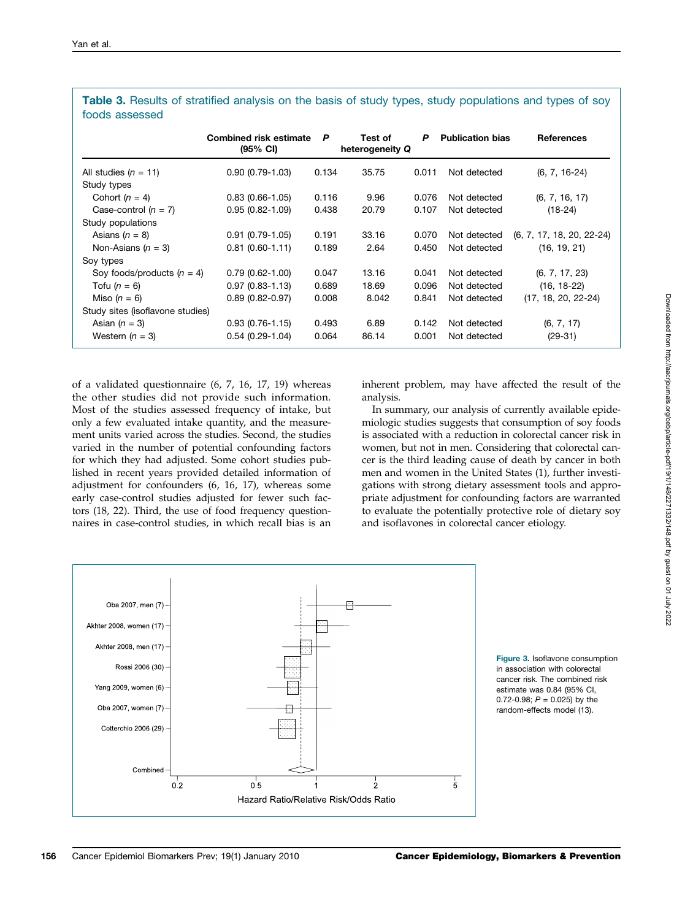|                                  | <b>Combined risk estimate</b><br>$(95% \text{ Cl})$ | P     | Test of<br>heterogeneity Q | P     | <b>Publication bias</b> | <b>References</b>           |
|----------------------------------|-----------------------------------------------------|-------|----------------------------|-------|-------------------------|-----------------------------|
| All studies $(n = 11)$           | $0.90(0.79-1.03)$                                   | 0.134 | 35.75                      | 0.011 | Not detected            | $(6, 7, 16-24)$             |
| Study types                      |                                                     |       |                            |       |                         |                             |
| Cohort $(n = 4)$                 | $0.83(0.66-1.05)$                                   | 0.116 | 9.96                       | 0.076 | Not detected            | (6, 7, 16, 17)              |
| Case-control $(n = 7)$           | $0.95(0.82 - 1.09)$                                 | 0.438 | 20.79                      | 0.107 | Not detected            | $(18-24)$                   |
| Study populations                |                                                     |       |                            |       |                         |                             |
| Asians $(n = 8)$                 | $0.91(0.79-1.05)$                                   | 0.191 | 33.16                      | 0.070 | Not detected            | $(6, 7, 17, 18, 20, 22-24)$ |
| Non-Asians $(n = 3)$             | $0.81(0.60 - 1.11)$                                 | 0.189 | 2.64                       | 0.450 | Not detected            | (16, 19, 21)                |
| Soy types                        |                                                     |       |                            |       |                         |                             |
| Soy foods/products $(n = 4)$     | $0.79(0.62 - 1.00)$                                 | 0.047 | 13.16                      | 0.041 | Not detected            | (6, 7, 17, 23)              |
| Tofu $(n = 6)$                   | $0.97(0.83 - 1.13)$                                 | 0.689 | 18.69                      | 0.096 | Not detected            | $(16, 18-22)$               |
| Miso ( $n = 6$ )                 | $0.89(0.82 - 0.97)$                                 | 0.008 | 8.042                      | 0.841 | Not detected            | $(17, 18, 20, 22-24)$       |
| Study sites (isoflavone studies) |                                                     |       |                            |       |                         |                             |
| Asian $(n = 3)$                  | $0.93(0.76-1.15)$                                   | 0.493 | 6.89                       | 0.142 | Not detected            | (6, 7, 17)                  |
| Western $(n = 3)$                | $0.54(0.29-1.04)$                                   | 0.064 | 86.14                      | 0.001 | Not detected            | $(29-31)$                   |

**Table 3.** Results of stratified analysis on the basis of study types, study populations and types of soy foods assessed

of a validated questionnaire (6, 7, 16, 17, 19) whereas the other studies did not provide such information. Most of the studies assessed frequency of intake, but only a few evaluated intake quantity, and the measurement units varied across the studies. Second, the studies varied in the number of potential confounding factors for which they had adjusted. Some cohort studies published in recent years provided detailed information of adjustment for confounders (6, 16, 17), whereas some early case-control studies adjusted for fewer such factors (18, 22). Third, the use of food frequency questionnaires in case-control studies, in which recall bias is an inherent problem, may have affected the result of the analysis.

In summary, our analysis of currently available epidemiologic studies suggests that consumption of soy foods is associated with a reduction in colorectal cancer risk in women, but not in men. Considering that colorectal cancer is the third leading cause of death by cancer in both men and women in the United States (1), further investigations with strong dietary assessment tools and appropriate adjustment for confounding factors are warranted to evaluate the potentially protective role of dietary soy and isoflavones in colorectal cancer etiology.



Figure 3. Isoflavone consumption in association with colorectal cancer risk. The combined risk estimate was 0.84 (95% CI, 0.72-0.98;  $P = 0.025$ ) by the random-effects model (13).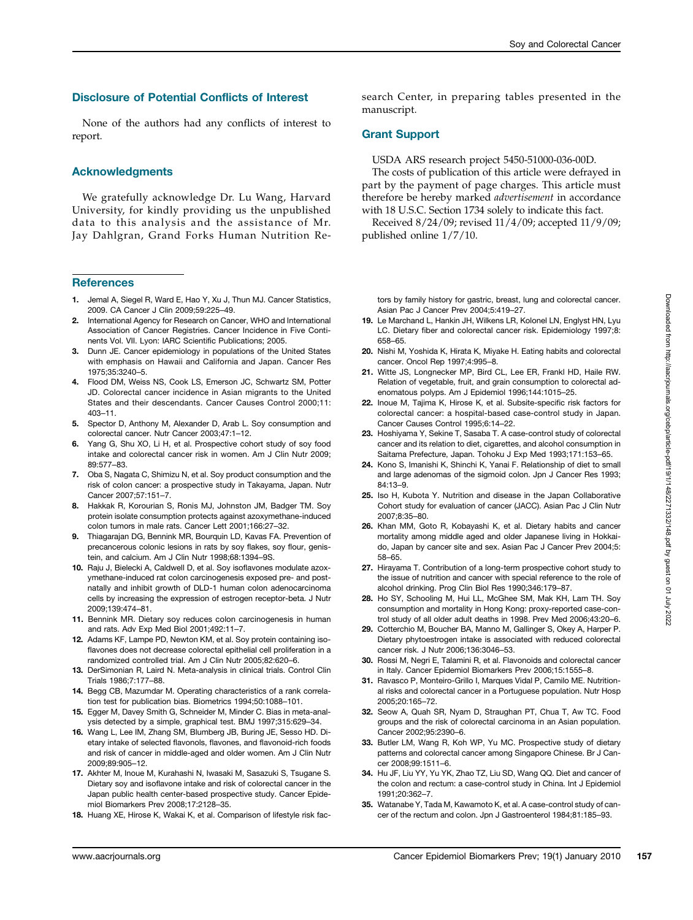# Disclosure of Potential Conflicts of Interest

None of the authors had any conflicts of interest to report.

## Acknowledgments

We gratefully acknowledge Dr. Lu Wang, Harvard University, for kindly providing us the unpublished data to this analysis and the assistance of Mr. Jay Dahlgran, Grand Forks Human Nutrition Re-

### **References**

- 1. Jemal A, Siegel R, Ward E, Hao Y, Xu J, Thun MJ. Cancer Statistics, 2009. CA Cancer J Clin 2009;59:225–49.
- 2. International Agency for Research on Cancer, WHO and International Association of Cancer Registries. Cancer Incidence in Five Continents Vol. VII. Lyon: IARC Scientific Publications; 2005.
- 3. Dunn JE. Cancer epidemiology in populations of the United States with emphasis on Hawaii and California and Japan. Cancer Res 1975;35:3240–5.
- 4. Flood DM, Weiss NS, Cook LS, Emerson JC, Schwartz SM, Potter JD. Colorectal cancer incidence in Asian migrants to the United States and their descendants. Cancer Causes Control 2000;11: 403–11.
- 5. Spector D, Anthony M, Alexander D, Arab L. Soy consumption and colorectal cancer. Nutr Cancer 2003;47:1–12.
- 6. Yang G, Shu XO, Li H, et al. Prospective cohort study of soy food intake and colorectal cancer risk in women. Am J Clin Nutr 2009; 89:577–83.
- 7. Oba S, Nagata C, Shimizu N, et al. Soy product consumption and the risk of colon cancer: a prospective study in Takayama, Japan. Nutr Cancer 2007;57:151–7.
- 8. Hakkak R, Korourian S, Ronis MJ, Johnston JM, Badger TM. Soy protein isolate consumption protects against azoxymethane-induced colon tumors in male rats. Cancer Lett 2001;166:27–32.
- 9. Thiagarajan DG, Bennink MR, Bourquin LD, Kavas FA. Prevention of precancerous colonic lesions in rats by soy flakes, soy flour, genistein, and calcium. Am J Clin Nutr 1998;68:1394–9S.
- 10. Raju J, Bielecki A, Caldwell D, et al. Soy isoflavones modulate azoxymethane-induced rat colon carcinogenesis exposed pre- and postnatally and inhibit growth of DLD-1 human colon adenocarcinoma cells by increasing the expression of estrogen receptor-beta. J Nutr 2009;139:474–81.
- 11. Bennink MR. Dietary soy reduces colon carcinogenesis in human and rats. Adv Exp Med Biol 2001;492:11–7.
- 12. Adams KF, Lampe PD, Newton KM, et al. Soy protein containing isoflavones does not decrease colorectal epithelial cell proliferation in a randomized controlled trial. Am J Clin Nutr 2005;82:620–6.
- 13. DerSimonian R, Laird N. Meta-analysis in clinical trials. Control Clin Trials 1986;7:177–88.
- 14. Begg CB, Mazumdar M. Operating characteristics of a rank correlation test for publication bias. Biometrics 1994;50:1088–101.
- 15. Egger M, Davey Smith G, Schneider M, Minder C. Bias in meta-analysis detected by a simple, graphical test. BMJ 1997;315:629–34.
- 16. Wang L, Lee IM, Zhang SM, Blumberg JB, Buring JE, Sesso HD. Dietary intake of selected flavonols, flavones, and flavonoid-rich foods and risk of cancer in middle-aged and older women. Am J Clin Nutr 2009;89:905–12.
- 17. Akhter M, Inoue M, Kurahashi N, Iwasaki M, Sasazuki S, Tsugane S. Dietary soy and isoflavone intake and risk of colorectal cancer in the Japan public health center-based prospective study. Cancer Epidemiol Biomarkers Prev 2008;17:2128–35.
- 18. Huang XE, Hirose K, Wakai K, et al. Comparison of lifestyle risk fac-

search Center, in preparing tables presented in the manuscript.

# Grant Support

USDA ARS research project 5450-51000-036-00D.

The costs of publication of this article were defrayed in part by the payment of page charges. This article must therefore be hereby marked *advertisement* in accordance with 18 U.S.C. Section 1734 solely to indicate this fact.

Received 8/24/09; revised 11/4/09; accepted 11/9/09; published online 1/7/10.

tors by family history for gastric, breast, lung and colorectal cancer. Asian Pac J Cancer Prev 2004;5:419–27.

- 19. Le Marchand L, Hankin JH, Wilkens LR, Kolonel LN, Englyst HN, Lyu LC. Dietary fiber and colorectal cancer risk. Epidemiology 1997;8: 658–65.
- 20. Nishi M, Yoshida K, Hirata K, Miyake H. Eating habits and colorectal cancer. Oncol Rep 1997;4:995–8.
- 21. Witte JS, Longnecker MP, Bird CL, Lee ER, Frankl HD, Haile RW. Relation of vegetable, fruit, and grain consumption to colorectal adenomatous polyps. Am J Epidemiol 1996;144:1015–25.
- 22. Inoue M, Tajima K, Hirose K, et al. Subsite-specific risk factors for colorectal cancer: a hospital-based case-control study in Japan. Cancer Causes Control 1995;6:14–22.
- 23. Hoshiyama Y, Sekine T, Sasaba T. A case-control study of colorectal cancer and its relation to diet, cigarettes, and alcohol consumption in Saitama Prefecture, Japan. Tohoku J Exp Med 1993;171:153–65.
- 24. Kono S, Imanishi K, Shinchi K, Yanai F. Relationship of diet to small and large adenomas of the sigmoid colon. Jpn J Cancer Res 1993; 84:13–9.
- 25. Iso H, Kubota Y. Nutrition and disease in the Japan Collaborative Cohort study for evaluation of cancer (JACC). Asian Pac J Clin Nutr 2007;8:35–80.
- 26. Khan MM, Goto R, Kobayashi K, et al. Dietary habits and cancer mortality among middle aged and older Japanese living in Hokkaido, Japan by cancer site and sex. Asian Pac J Cancer Prev 2004;5: 58–65.
- 27. Hirayama T. Contribution of a long-term prospective cohort study to the issue of nutrition and cancer with special reference to the role of alcohol drinking. Prog Clin Biol Res 1990;346:179–87.
- 28. Ho SY, Schooling M, Hui LL, McGhee SM, Mak KH, Lam TH. Soy consumption and mortality in Hong Kong: proxy-reported case-control study of all older adult deaths in 1998. Prev Med 2006;43:20–6.
- 29. Cotterchio M, Boucher BA, Manno M, Gallinger S, Okey A, Harper P. Dietary phytoestrogen intake is associated with reduced colorectal cancer risk. J Nutr 2006;136:3046–53.
- 30. Rossi M, Negri E, Talamini R, et al. Flavonoids and colorectal cancer in Italy. Cancer Epidemiol Biomarkers Prev 2006;15:1555–8.
- 31. Ravasco P, Monteiro-Grillo I, Marques Vidal P, Camilo ME. Nutritional risks and colorectal cancer in a Portuguese population. Nutr Hosp 2005;20:165–72.
- 32. Seow A, Quah SR, Nyam D, Straughan PT, Chua T, Aw TC. Food groups and the risk of colorectal carcinoma in an Asian population. Cancer 2002;95:2390–6.
- 33. Butler LM, Wang R, Koh WP, Yu MC. Prospective study of dietary patterns and colorectal cancer among Singapore Chinese. Br J Cancer 2008;99:1511–6.
- 34. Hu JF, Liu YY, Yu YK, Zhao TZ, Liu SD, Wang QQ. Diet and cancer of the colon and rectum: a case-control study in China. Int J Epidemiol 1991;20:362–7.
- 35. Watanabe Y, Tada M, Kawamoto K, et al. A case-control study of cancer of the rectum and colon. Jpn J Gastroenterol 1984;81:185–93.